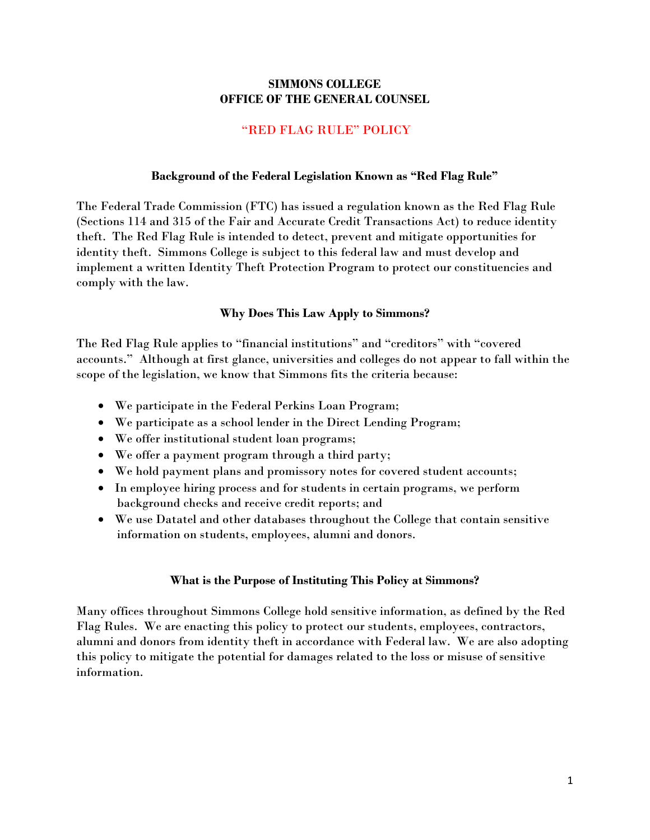### **SIMMONS COLLEGE OFFICE OF THE GENERAL COUNSEL**

### "RED FLAG RULE" POLICY

#### **Background of the Federal Legislation Known as "Red Flag Rule"**

The Federal Trade Commission (FTC) has issued a regulation known as the Red Flag Rule (Sections 114 and 315 of the Fair and Accurate Credit Transactions Act) to reduce identity theft. The Red Flag Rule is intended to detect, prevent and mitigate opportunities for identity theft. Simmons College is subject to this federal law and must develop and implement a written Identity Theft Protection Program to protect our constituencies and comply with the law.

#### **Why Does This Law Apply to Simmons?**

The Red Flag Rule applies to "financial institutions" and "creditors" with "covered accounts." Although at first glance, universities and colleges do not appear to fall within the scope of the legislation, we know that Simmons fits the criteria because:

- We participate in the Federal Perkins Loan Program;
- We participate as a school lender in the Direct Lending Program;
- We offer institutional student loan programs;
- We offer a payment program through a third party;
- We hold payment plans and promissory notes for covered student accounts;
- In employee hiring process and for students in certain programs, we perform background checks and receive credit reports; and
- We use Datatel and other databases throughout the College that contain sensitive information on students, employees, alumni and donors.

#### **What is the Purpose of Instituting This Policy at Simmons?**

Many offices throughout Simmons College hold sensitive information, as defined by the Red Flag Rules. We are enacting this policy to protect our students, employees, contractors, alumni and donors from identity theft in accordance with Federal law. We are also adopting this policy to mitigate the potential for damages related to the loss or misuse of sensitive information.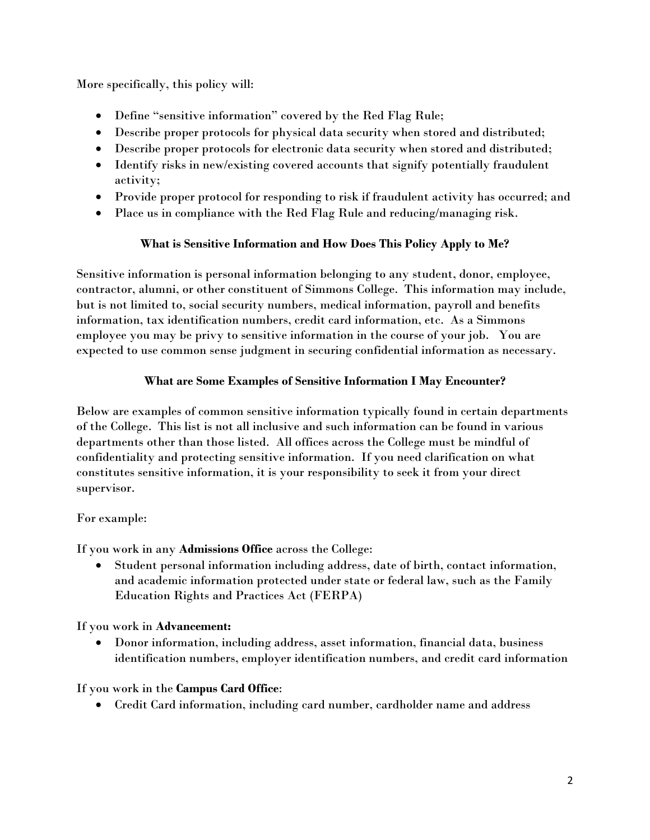More specifically, this policy will:

- Define "sensitive information" covered by the Red Flag Rule;
- Describe proper protocols for physical data security when stored and distributed;
- Describe proper protocols for electronic data security when stored and distributed;
- Identify risks in new/existing covered accounts that signify potentially fraudulent activity;
- Provide proper protocol for responding to risk if fraudulent activity has occurred; and
- Place us in compliance with the Red Flag Rule and reducing/managing risk.

# **What is Sensitive Information and How Does This Policy Apply to Me?**

Sensitive information is personal information belonging to any student, donor, employee, contractor, alumni, or other constituent of Simmons College. This information may include, but is not limited to, social security numbers, medical information, payroll and benefits information, tax identification numbers, credit card information, etc. As a Simmons employee you may be privy to sensitive information in the course of your job. You are expected to use common sense judgment in securing confidential information as necessary.

# **What are Some Examples of Sensitive Information I May Encounter?**

Below are examples of common sensitive information typically found in certain departments of the College. This list is not all inclusive and such information can be found in various departments other than those listed. All offices across the College must be mindful of confidentiality and protecting sensitive information. If you need clarification on what constitutes sensitive information, it is your responsibility to seek it from your direct supervisor.

# For example:

If you work in any **Admissions Office** across the College:

 Student personal information including address, date of birth, contact information, and academic information protected under state or federal law, such as the Family Education Rights and Practices Act (FERPA)

If you work in **Advancement:**

 Donor information, including address, asset information, financial data, business identification numbers, employer identification numbers, and credit card information

# If you work in the **Campus Card Office**:

Credit Card information, including card number, cardholder name and address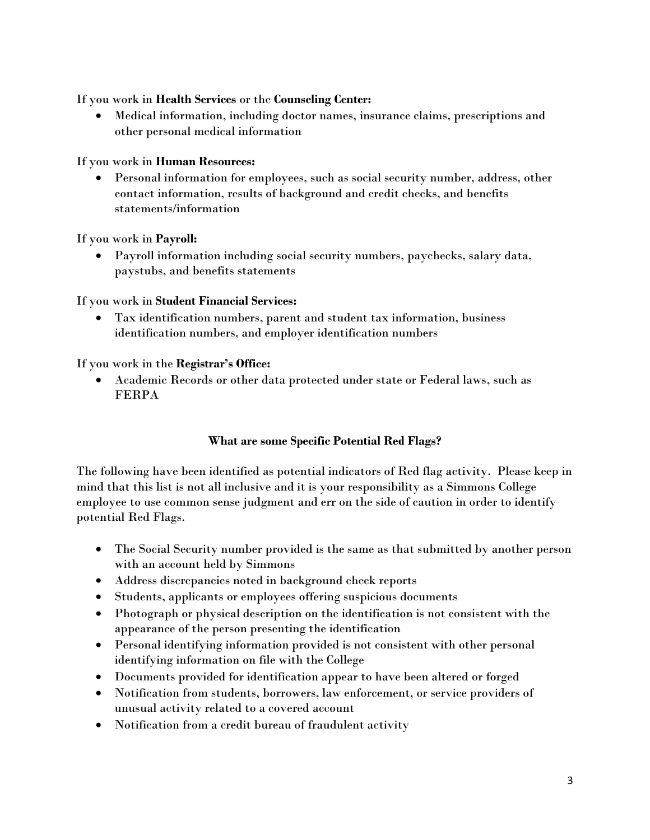### If you work in **Health Services** or the **Counseling Center:**

 Medical information, including doctor names, insurance claims, prescriptions and other personal medical information

### If you work in **Human Resources:**

 Personal information for employees, such as social security number, address, other contact information, results of background and credit checks, and benefits statements/information

### If you work in **Payroll:**

 Payroll information including social security numbers, paychecks, salary data, paystubs, and benefits statements

### If you work in **Student Financial Services:**

 Tax identification numbers, parent and student tax information, business identification numbers, and employer identification numbers

### If you work in the **Registrar's Office:**

 Academic Records or other data protected under state or Federal laws, such as FERPA

### **What are some Specific Potential Red Flags?**

The following have been identified as potential indicators of Red flag activity. Please keep in mind that this list is not all inclusive and it is your responsibility as a Simmons College employee to use common sense judgment and err on the side of caution in order to identify potential Red Flags.

- The Social Security number provided is the same as that submitted by another person with an account held by Simmons
- Address discrepancies noted in background check reports
- Students, applicants or employees offering suspicious documents
- Photograph or physical description on the identification is not consistent with the appearance of the person presenting the identification
- Personal identifying information provided is not consistent with other personal identifying information on file with the College
- Documents provided for identification appear to have been altered or forged
- Notification from students, borrowers, law enforcement, or service providers of unusual activity related to a covered account
- Notification from a credit bureau of fraudulent activity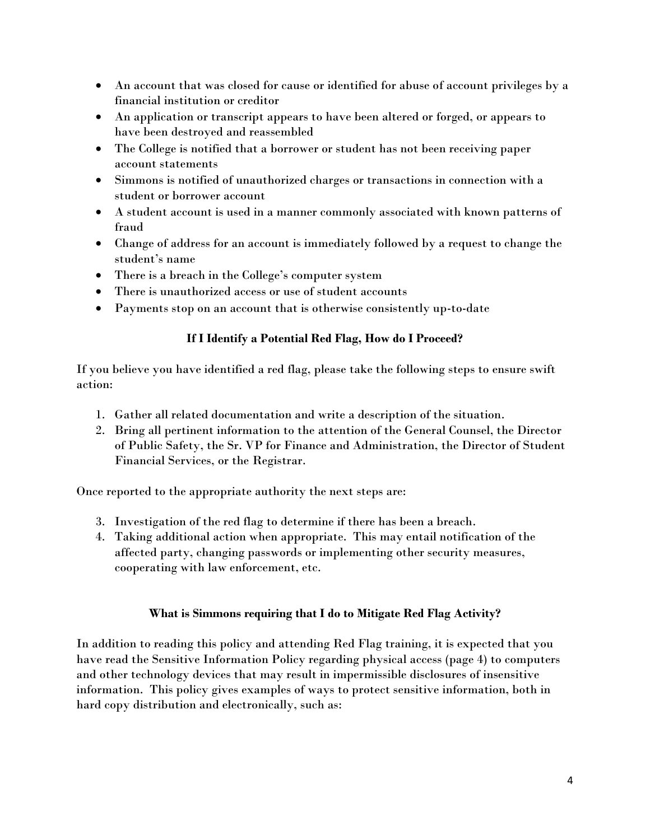- An account that was closed for cause or identified for abuse of account privileges by a financial institution or creditor
- An application or transcript appears to have been altered or forged, or appears to have been destroyed and reassembled
- The College is notified that a borrower or student has not been receiving paper account statements
- Simmons is notified of unauthorized charges or transactions in connection with a student or borrower account
- A student account is used in a manner commonly associated with known patterns of fraud
- Change of address for an account is immediately followed by a request to change the student's name
- There is a breach in the College's computer system
- There is unauthorized access or use of student accounts
- Payments stop on an account that is otherwise consistently up-to-date

### **If I Identify a Potential Red Flag, How do I Proceed?**

If you believe you have identified a red flag, please take the following steps to ensure swift action:

- 1. Gather all related documentation and write a description of the situation.
- 2. Bring all pertinent information to the attention of the General Counsel, the Director of Public Safety, the Sr. VP for Finance and Administration, the Director of Student Financial Services, or the Registrar.

Once reported to the appropriate authority the next steps are:

- 3. Investigation of the red flag to determine if there has been a breach.
- 4. Taking additional action when appropriate. This may entail notification of the affected party, changing passwords or implementing other security measures, cooperating with law enforcement, etc.

# **What is Simmons requiring that I do to Mitigate Red Flag Activity?**

In addition to reading this policy and attending Red Flag training, it is expected that you have read the Sensitive Information Policy regarding physical access (page 4) to computers and other technology devices that may result in impermissible disclosures of insensitive information. This policy gives examples of ways to protect sensitive information, both in hard copy distribution and electronically, such as: